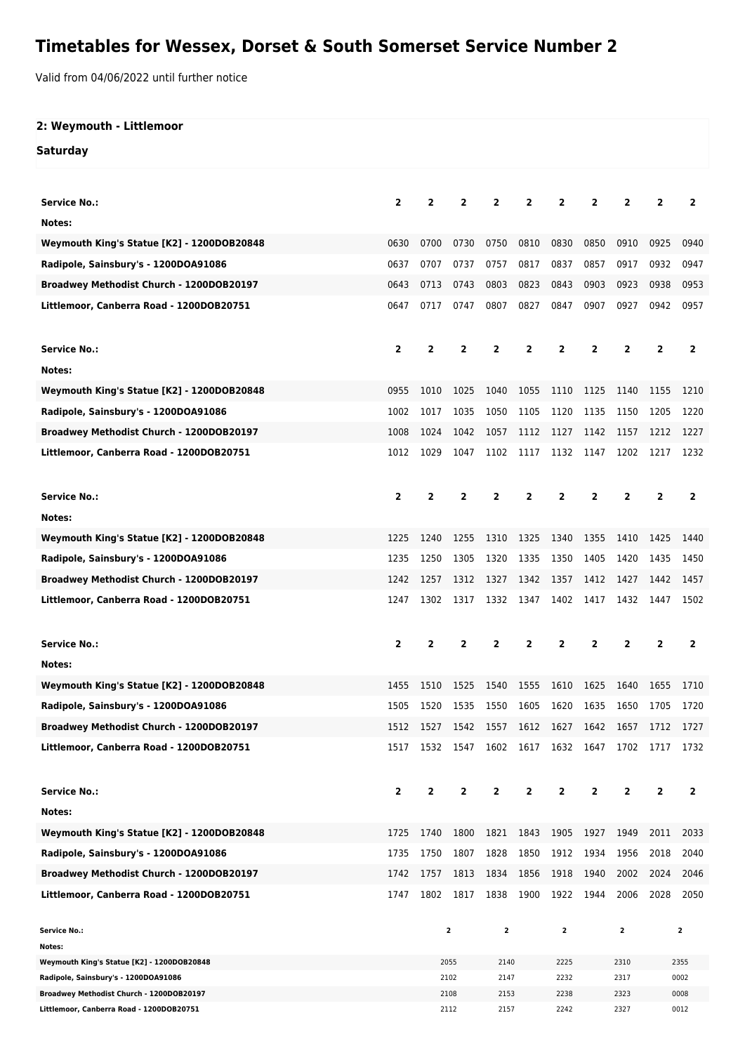# **Timetables for Wessex, Dorset & South Somerset Service Number 2**

Valid from 04/06/2022 until further notice

## **2: Weymouth - Littlemoor**

#### **Saturday**

| <b>Service No.:</b>                                                              | 2    | 2              | $\overline{2}$ | 2              | $\overline{2}$          | $\overline{2}$      | $\mathbf{2}$ | $\overline{2}$          | $\overline{2}$ | $\mathbf{2}$   |
|----------------------------------------------------------------------------------|------|----------------|----------------|----------------|-------------------------|---------------------|--------------|-------------------------|----------------|----------------|
| Notes:                                                                           |      |                |                |                |                         |                     |              |                         |                |                |
| Weymouth King's Statue [K2] - 1200DOB20848                                       | 0630 | 0700           | 0730           | 0750           | 0810                    | 0830                | 0850         | 0910                    | 0925           | 0940           |
| Radipole, Sainsbury's - 1200DOA91086                                             | 0637 | 0707           | 0737           | 0757           | 0817                    | 0837                | 0857         | 0917                    | 0932           | 0947           |
| Broadwey Methodist Church - 1200DOB20197                                         | 0643 | 0713           | 0743           | 0803           | 0823                    | 0843                | 0903         | 0923                    | 0938           | 0953           |
| Littlemoor, Canberra Road - 1200DOB20751                                         | 0647 | 0717           | 0747           | 0807           | 0827                    | 0847                | 0907         | 0927                    | 0942           | 0957           |
| <b>Service No.:</b>                                                              | 2    | 2              | $\overline{2}$ | $\overline{2}$ | $\overline{2}$          | $\overline{2}$      | $\mathbf{2}$ | $\overline{2}$          | $\overline{2}$ | $\overline{2}$ |
| Notes:                                                                           |      |                |                |                |                         |                     |              |                         |                |                |
| Weymouth King's Statue [K2] - 1200DOB20848                                       | 0955 | 1010           | 1025           | 1040           | 1055                    | 1110                | 1125         | 1140                    | 1155           | 1210           |
| Radipole, Sainsbury's - 1200DOA91086                                             | 1002 | 1017           | 1035           | 1050           | 1105                    | 1120                | 1135         | 1150                    | 1205           | 1220           |
| Broadwey Methodist Church - 1200DOB20197                                         | 1008 | 1024           | 1042           | 1057           | 1112                    | 1127                | 1142         | 1157                    | 1212           | 1227           |
| Littlemoor, Canberra Road - 1200DOB20751                                         | 1012 | 1029           | 1047           | 1102           | 1117                    | 1132                | 1147         | 1202                    | 1217           | 1232           |
|                                                                                  |      |                |                |                |                         |                     |              |                         |                |                |
| <b>Service No.:</b>                                                              | 2    | 2              | $\overline{2}$ | 2              | $\overline{\mathbf{2}}$ | $\mathbf{2}$        | $\mathbf{2}$ | $\overline{2}$          | $\mathbf{2}$   | $\overline{2}$ |
|                                                                                  |      |                |                |                |                         |                     |              |                         |                |                |
| Notes:                                                                           | 1225 | 1240           | 1255           | 1310           | 1325                    | 1340                | 1355         |                         |                | 1440           |
| Weymouth King's Statue [K2] - 1200DOB20848                                       |      |                |                |                |                         |                     |              | 1410                    | 1425           |                |
| Radipole, Sainsbury's - 1200DOA91086                                             | 1235 | 1250           | 1305           | 1320           | 1335                    | 1350                | 1405         | 1420                    | 1435           | 1450           |
| Broadwey Methodist Church - 1200DOB20197                                         | 1242 | 1257           | 1312           | 1327           | 1342                    | 1357                | 1412         | 1427                    | 1442           | 1457           |
| Littlemoor, Canberra Road - 1200DOB20751                                         | 1247 | 1302           | 1317           | 1332           | 1347                    | 1402                | 1417         | 1432                    | 1447           | 1502           |
|                                                                                  |      |                |                |                |                         |                     |              |                         |                |                |
| <b>Service No.:</b>                                                              | 2    | 2              | $\mathbf{2}$   | 2              | $\overline{\mathbf{2}}$ | 2                   | $\mathbf{2}$ | 2                       | $\overline{2}$ | $\overline{2}$ |
| Notes:                                                                           |      |                |                |                |                         |                     |              |                         |                |                |
| Weymouth King's Statue [K2] - 1200DOB20848                                       | 1455 | 1510           | 1525           | 1540           | 1555                    | 1610                | 1625         | 1640                    | 1655           | 1710           |
| Radipole, Sainsbury's - 1200DOA91086                                             | 1505 | 1520           | 1535           | 1550           | 1605                    | 1620                | 1635         | 1650                    | 1705           | 1720           |
| Broadwey Methodist Church - 1200DOB20197                                         | 1512 | 1527           | 1542           | 1557           | 1612                    | 1627                | 1642         | 1657                    | 1712           | 1727           |
| Littlemoor, Canberra Road - 1200DOB20751                                         | 1517 |                | 1532 1547      |                |                         | 1602 1617 1632 1647 |              | 1702 1717               |                | 1732           |
|                                                                                  |      |                |                |                |                         |                     |              |                         |                |                |
| <b>Service No.:</b>                                                              | 2    | $\overline{2}$ | $\overline{2}$ | $\overline{2}$ | $\overline{\mathbf{2}}$ | $\overline{2}$      | $\mathbf{2}$ | $\overline{2}$          | $\overline{2}$ | $\overline{2}$ |
|                                                                                  |      |                |                |                |                         |                     |              |                         |                |                |
| Notes:                                                                           |      |                |                |                |                         |                     |              |                         |                |                |
| Weymouth King's Statue [K2] - 1200DOB20848                                       | 1725 | 1740           | 1800           | 1821           | 1843                    | 1905                | 1927         | 1949                    | 2011           | 2033           |
| Radipole, Sainsbury's - 1200DOA91086                                             | 1735 | 1750           | 1807           | 1828           | 1850                    | 1912                | 1934         | 1956                    | 2018           | 2040           |
| Broadwey Methodist Church - 1200DOB20197                                         | 1742 | 1757           | 1813           | 1834           | 1856                    |                     | 1940         | 2002                    | 2024           | 2046           |
|                                                                                  |      |                |                |                |                         | 1918                |              |                         |                | 2050           |
| Littlemoor, Canberra Road - 1200DOB20751                                         | 1747 | 1802           | 1817           | 1838           | 1900                    | 1922                | 1944         | 2006                    | 2028           |                |
| <b>Service No.:</b>                                                              |      |                | 2              | $\mathbf 2$    |                         | 2                   |              | $\overline{\mathbf{2}}$ |                | $\overline{2}$ |
| Notes:                                                                           |      |                |                |                |                         |                     |              |                         |                |                |
| Weymouth King's Statue [K2] - 1200DOB20848                                       |      |                | 2055           | 2140           |                         | 2225                |              | 2310                    |                | 2355           |
| Radipole, Sainsbury's - 1200DOA91086<br>Broadwey Methodist Church - 1200DOB20197 |      |                | 2102<br>2108   | 2147<br>2153   |                         | 2232<br>2238        |              | 2317<br>2323            |                | 0002<br>0008   |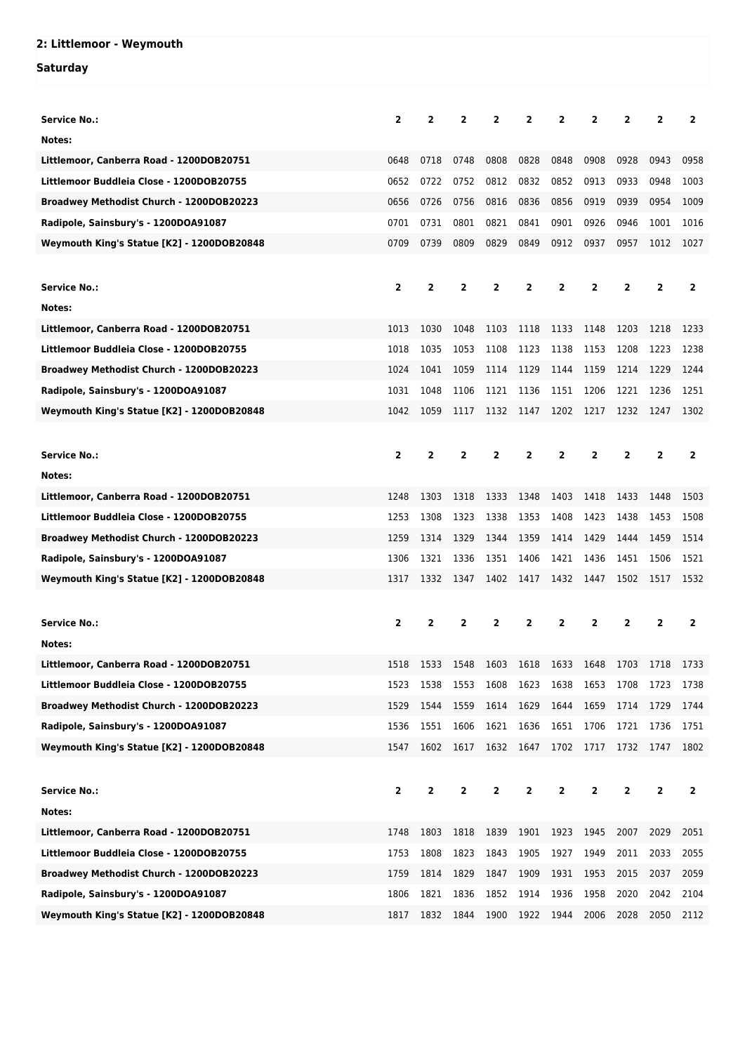## **2: Littlemoor - Weymouth**

### **Saturday**

| <b>Service No.:</b>                        | $\overline{2}$          | $\overline{2}$          | $\overline{2}$ | $\overline{2}$ | $\overline{2}$ | 2              | $\mathbf{2}$   | 2              | 2              | $\overline{2}$ |
|--------------------------------------------|-------------------------|-------------------------|----------------|----------------|----------------|----------------|----------------|----------------|----------------|----------------|
| Notes:                                     |                         |                         |                |                |                |                |                |                |                |                |
| Littlemoor, Canberra Road - 1200DOB20751   | 0648                    | 0718                    | 0748           | 0808           | 0828           | 0848           | 0908           | 0928           | 0943           | 0958           |
| Littlemoor Buddleia Close - 1200DOB20755   | 0652                    | 0722                    | 0752           | 0812           | 0832           | 0852           | 0913           | 0933           | 0948           | 1003           |
| Broadwey Methodist Church - 1200DOB20223   | 0656                    | 0726                    | 0756           | 0816           | 0836           | 0856           | 0919           | 0939           | 0954           | 1009           |
| Radipole, Sainsbury's - 1200DOA91087       | 0701                    | 0731                    | 0801           | 0821           | 0841           | 0901           | 0926           | 0946           | 1001           | 1016           |
| Weymouth King's Statue [K2] - 1200DOB20848 | 0709                    | 0739                    | 0809           | 0829           | 0849           | 0912           | 0937           | 0957           | 1012           | 1027           |
|                                            |                         |                         |                |                |                |                |                |                |                |                |
| <b>Service No.:</b>                        | $\overline{2}$          | $\overline{\mathbf{2}}$ | $\mathbf{2}$   | 2              | $\overline{2}$ | 2              | $\overline{2}$ | 2              | 2              | $\overline{2}$ |
| Notes:                                     |                         |                         |                |                |                |                |                |                |                |                |
| Littlemoor, Canberra Road - 1200DOB20751   | 1013                    | 1030                    | 1048           | 1103           | 1118           | 1133           | 1148           | 1203           | 1218           | 1233           |
| Littlemoor Buddleia Close - 1200DOB20755   | 1018                    | 1035                    | 1053           | 1108           | 1123           | 1138           | 1153           | 1208           | 1223           | 1238           |
| Broadwey Methodist Church - 1200DOB20223   | 1024                    | 1041                    | 1059           | 1114           | 1129           | 1144           | 1159           | 1214           | 1229           | 1244           |
| Radipole, Sainsbury's - 1200DOA91087       | 1031                    | 1048                    | 1106           | 1121           | 1136           | 1151           | 1206           | 1221           | 1236           | 1251           |
| Weymouth King's Statue [K2] - 1200DOB20848 | 1042                    | 1059                    | 1117           | 1132           | 1147           | 1202           | 1217           | 1232           | 1247           | 1302           |
|                                            |                         |                         |                |                |                |                |                |                |                |                |
| <b>Service No.:</b>                        | $\overline{2}$          | $\overline{\mathbf{2}}$ | $\mathbf{2}$   | $\overline{2}$ | $\overline{2}$ | $\overline{2}$ | $\overline{2}$ | $\overline{2}$ | $\overline{2}$ | $\overline{2}$ |
| Notes:                                     |                         |                         |                |                |                |                |                |                |                |                |
| Littlemoor, Canberra Road - 1200DOB20751   | 1248                    | 1303                    | 1318           | 1333           | 1348           | 1403           | 1418           | 1433           | 1448           | 1503           |
| Littlemoor Buddleia Close - 1200DOB20755   | 1253                    | 1308                    | 1323           | 1338           | 1353           | 1408           | 1423           | 1438           | 1453           | 1508           |
| Broadwey Methodist Church - 1200DOB20223   | 1259                    | 1314                    | 1329           | 1344           | 1359           | 1414           | 1429           | 1444           | 1459           | 1514           |
| Radipole, Sainsbury's - 1200DOA91087       | 1306                    | 1321                    | 1336           | 1351           | 1406           | 1421           | 1436           | 1451           | 1506           | 1521           |
| Weymouth King's Statue [K2] - 1200DOB20848 | 1317                    | 1332                    | 1347           | 1402           | 1417           | 1432           | 1447           | 1502           | 1517           | 1532           |
|                                            |                         |                         |                |                |                |                |                |                |                |                |
| <b>Service No.:</b>                        | $\mathbf{2}$            | $\overline{2}$          | $\overline{2}$ | $\overline{2}$ | $\overline{2}$ | $\overline{2}$ | $\overline{2}$ | $\overline{2}$ | $\overline{2}$ | $\overline{2}$ |
| Notes:                                     |                         |                         |                |                |                |                |                |                |                |                |
| Littlemoor, Canberra Road - 1200DOB20751   | 1518                    | 1533                    | 1548           | 1603           | 1618           | 1633           | 1648           | 1703           | 1718           | 1733           |
| Littlemoor Buddleia Close - 1200DOB20755   | 1523                    | 1538                    | 1553           | 1608           | 1623           | 1638           | 1653           | 1708           | 1723           | 1738           |
| Broadwey Methodist Church - 1200DOB20223   | 1529                    | 1544                    | 1559           | 1614           | 1629           | 1644           | 1659           | 1714           | 1729           | 1744           |
| Radipole, Sainsbury's - 1200DOA91087       | 1536                    | 1551                    | 1606           | 1621           | 1636           | 1651           | 1706           | 1721           | 1736           | 1751           |
| Weymouth King's Statue [K2] - 1200DOB20848 | 1547                    | 1602                    | 1617           | 1632           | 1647           | 1702           | 1717           | 1732           | 1747           | 1802           |
|                                            |                         |                         |                |                |                |                |                |                |                |                |
| <b>Service No.:</b>                        | $\overline{\mathbf{2}}$ | $\overline{2}$          | 2              | 2              | 2              | 2              | 2              | 2              | 2              | $\mathbf{2}$   |
| Notes:                                     |                         |                         |                |                |                |                |                |                |                |                |
| Littlemoor, Canberra Road - 1200DOB20751   | 1748                    | 1803                    | 1818           | 1839           | 1901           | 1923           | 1945           | 2007           | 2029           | 2051           |
| Littlemoor Buddleia Close - 1200DOB20755   | 1753                    | 1808                    | 1823           | 1843           | 1905           | 1927           | 1949           | 2011           | 2033           | 2055           |
| Broadwey Methodist Church - 1200DOB20223   | 1759                    | 1814                    | 1829           | 1847           | 1909           | 1931           | 1953           | 2015           | 2037           | 2059           |
| Radipole, Sainsbury's - 1200DOA91087       | 1806                    | 1821                    | 1836           | 1852           | 1914           | 1936           | 1958           | 2020           | 2042           | 2104           |
| Weymouth King's Statue [K2] - 1200DOB20848 | 1817                    | 1832                    | 1844           | 1900           | 1922           | 1944           | 2006           | 2028           | 2050           | 2112           |